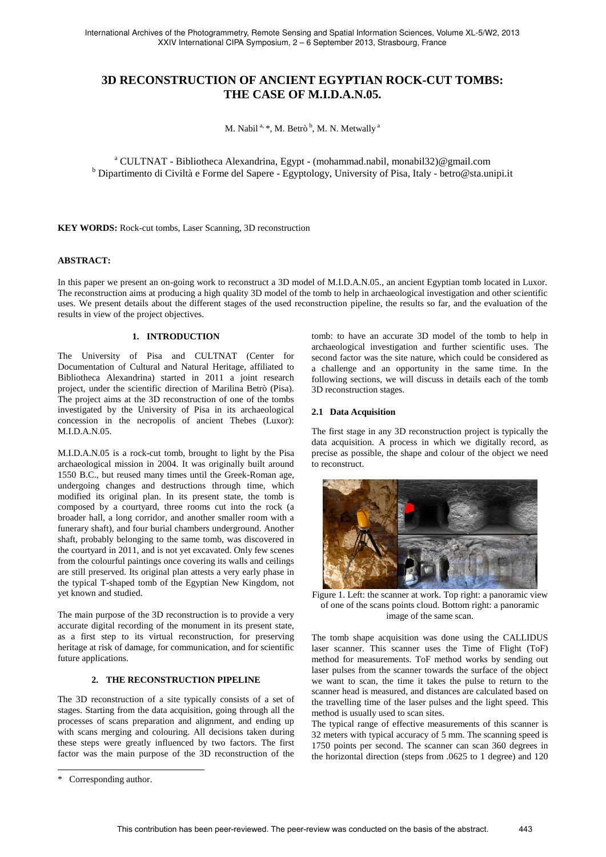# **3D RECONSTRUCTION OF ANCIENT EGYPTIAN ROCK-CUT TOMBS: THE CASE OF M.I.D.A.N.05.**

M. Nabil  $\mathrm{^{a,\,*}}$ , M. Betrò  $\mathrm{^{b,\,}}$  M. N. Metwally  $\mathrm{^{a}}$ 

<sup>a</sup> CULTNAT - Bibliotheca Alexandrina, Egypt - (mohammad.nabil, monabil32)@gmail.com <sup>b</sup> Dipartimento di Civiltà e Forme del Sapere - Egyptology, University of Pisa, Italy - betro@sta.unipi.it

**KEY WORDS:** Rock-cut tombs, Laser Scanning, 3D reconstruction

### **ABSTRACT:**

In this paper we present an on-going work to reconstruct a 3D model of M.I.D.A.N.05., an ancient Egyptian tomb located in Luxor. The reconstruction aims at producing a high quality 3D model of the tomb to help in archaeological investigation and other scientific uses. We present details about the different stages of the used reconstruction pipeline, the results so far, and the evaluation of the results in view of the project objectives.

#### **1. INTRODUCTION**

The University of Pisa and CULTNAT (Center for Documentation of Cultural and Natural Heritage, affiliated to Bibliotheca Alexandrina) started in 2011 a joint research project, under the scientific direction of Marilina Betrò (Pisa). The project aims at the 3D reconstruction of one of the tombs investigated by the University of Pisa in its archaeological concession in the necropolis of ancient Thebes (Luxor): M.I.D.A.N.05.

M.I.D.A.N.05 is a rock-cut tomb, brought to light by the Pisa archaeological mission in 2004. It was originally built around 1550 B.C., but reused many times until the Greek-Roman age, undergoing changes and destructions through time, which modified its original plan. In its present state, the tomb is composed by a courtyard, three rooms cut into the rock (a broader hall, a long corridor, and another smaller room with a funerary shaft), and four burial chambers underground. Another shaft, probably belonging to the same tomb, was discovered in the courtyard in 2011, and is not yet excavated. Only few scenes from the colourful paintings once covering its walls and ceilings are still preserved. Its original plan attests a very early phase in the typical T-shaped tomb of the Egyptian New Kingdom, not yet known and studied.

The main purpose of the 3D reconstruction is to provide a very accurate digital recording of the monument in its present state, as a first step to its virtual reconstruction, for preserving heritage at risk of damage, for communication, and for scientific future applications.

### **2. THE RECONSTRUCTION PIPELINE**

The 3D reconstruction of a site typically consists of a set of stages. Starting from the data acquisition, going through all the processes of scans preparation and alignment, and ending up with scans merging and colouring. All decisions taken during these steps were greatly influenced by two factors. The first factor was the main purpose of the 3D reconstruction of the

 $\overline{a}$ 

tomb: to have an accurate 3D model of the tomb to help in archaeological investigation and further scientific uses. The second factor was the site nature, which could be considered as a challenge and an opportunity in the same time. In the following sections, we will discuss in details each of the tomb 3D reconstruction stages.

#### **2.1 Data Acquisition**

The first stage in any 3D reconstruction project is typically the data acquisition. A process in which we digitally record, as precise as possible, the shape and colour of the object we need to reconstruct.



Figure 1. Left: the scanner at work. Top right: a panoramic view of one of the scans points cloud. Bottom right: a panoramic image of the same scan.

The tomb shape acquisition was done using the CALLIDUS laser scanner. This scanner uses the Time of Flight (ToF) method for measurements. ToF method works by sending out laser pulses from the scanner towards the surface of the object we want to scan, the time it takes the pulse to return to the scanner head is measured, and distances are calculated based on the travelling time of the laser pulses and the light speed. This method is usually used to scan sites.

The typical range of effective measurements of this scanner is 32 meters with typical accuracy of 5 mm. The scanning speed is 1750 points per second. The scanner can scan 360 degrees in the horizontal direction (steps from .0625 to 1 degree) and 120

<sup>\*</sup> Corresponding author.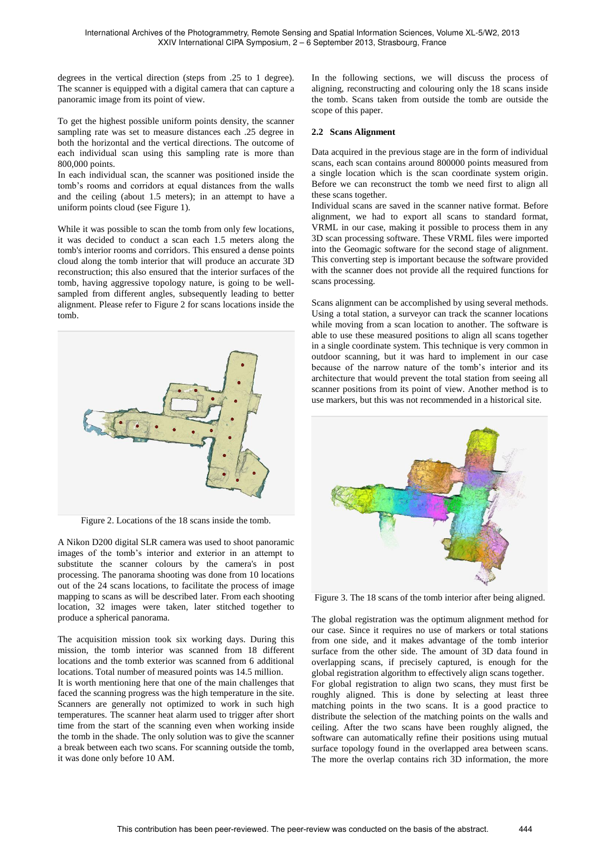degrees in the vertical direction (steps from .25 to 1 degree). The scanner is equipped with a digital camera that can capture a panoramic image from its point of view.

To get the highest possible uniform points density, the scanner sampling rate was set to measure distances each .25 degree in both the horizontal and the vertical directions. The outcome of each individual scan using this sampling rate is more than 800,000 points.

In each individual scan, the scanner was positioned inside the tomb's rooms and corridors at equal distances from the walls and the ceiling (about 1.5 meters); in an attempt to have a uniform points cloud (see Figure 1).

While it was possible to scan the tomb from only few locations, it was decided to conduct a scan each 1.5 meters along the tomb's interior rooms and corridors. This ensured a dense points cloud along the tomb interior that will produce an accurate 3D reconstruction; this also ensured that the interior surfaces of the tomb, having aggressive topology nature, is going to be wellsampled from different angles, subsequently leading to better alignment. Please refer to Figure 2 for scans locations inside the tomb.



Figure 2. Locations of the 18 scans inside the tomb.

A Nikon D200 digital SLR camera was used to shoot panoramic images of the tomb's interior and exterior in an attempt to substitute the scanner colours by the camera's in post processing. The panorama shooting was done from 10 locations out of the 24 scans locations, to facilitate the process of image mapping to scans as will be described later. From each shooting location, 32 images were taken, later stitched together to produce a spherical panorama.

The acquisition mission took six working days. During this mission, the tomb interior was scanned from 18 different locations and the tomb exterior was scanned from 6 additional locations. Total number of measured points was 14.5 million.

It is worth mentioning here that one of the main challenges that faced the scanning progress was the high temperature in the site. Scanners are generally not optimized to work in such high temperatures. The scanner heat alarm used to trigger after short time from the start of the scanning even when working inside the tomb in the shade. The only solution was to give the scanner a break between each two scans. For scanning outside the tomb, it was done only before 10 AM.

In the following sections, we will discuss the process of aligning, reconstructing and colouring only the 18 scans inside the tomb. Scans taken from outside the tomb are outside the scope of this paper.

#### **2.2 Scans Alignment**

Data acquired in the previous stage are in the form of individual scans, each scan contains around 800000 points measured from a single location which is the scan coordinate system origin. Before we can reconstruct the tomb we need first to align all these scans together.

Individual scans are saved in the scanner native format. Before alignment, we had to export all scans to standard format, VRML in our case, making it possible to process them in any 3D scan processing software. These VRML files were imported into the Geomagic software for the second stage of alignment. This converting step is important because the software provided with the scanner does not provide all the required functions for scans processing.

Scans alignment can be accomplished by using several methods. Using a total station, a surveyor can track the scanner locations while moving from a scan location to another. The software is able to use these measured positions to align all scans together in a single coordinate system. This technique is very common in outdoor scanning, but it was hard to implement in our case because of the narrow nature of the tomb's interior and its architecture that would prevent the total station from seeing all scanner positions from its point of view. Another method is to use markers, but this was not recommended in a historical site.



Figure 3. The 18 scans of the tomb interior after being aligned.

The global registration was the optimum alignment method for our case. Since it requires no use of markers or total stations from one side, and it makes advantage of the tomb interior surface from the other side. The amount of 3D data found in overlapping scans, if precisely captured, is enough for the global registration algorithm to effectively align scans together. For global registration to align two scans, they must first be roughly aligned. This is done by selecting at least three matching points in the two scans. It is a good practice to distribute the selection of the matching points on the walls and ceiling. After the two scans have been roughly aligned, the software can automatically refine their positions using mutual surface topology found in the overlapped area between scans. The more the overlap contains rich 3D information, the more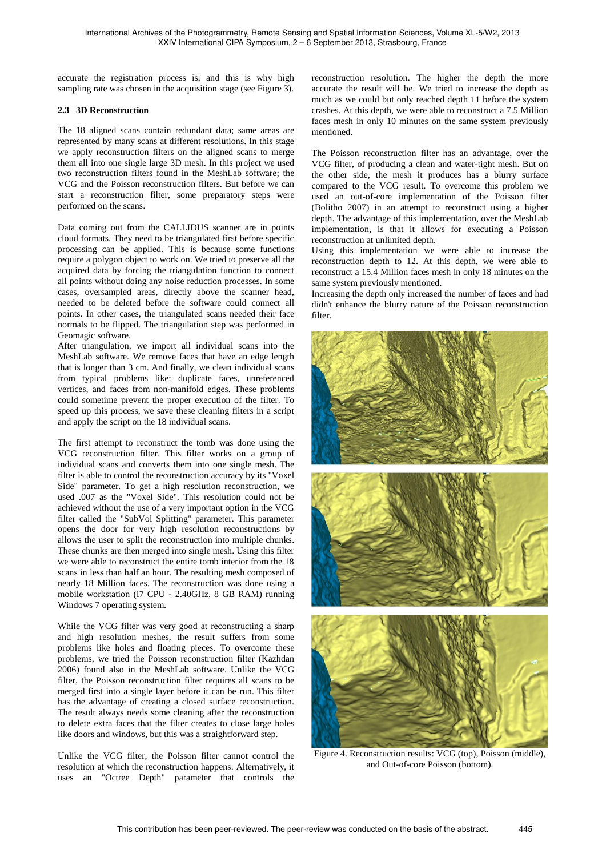accurate the registration process is, and this is why high sampling rate was chosen in the acquisition stage (see Figure 3).

### **2.3 3D Reconstruction**

The 18 aligned scans contain redundant data; same areas are represented by many scans at different resolutions. In this stage we apply reconstruction filters on the aligned scans to merge them all into one single large 3D mesh. In this project we used two reconstruction filters found in the MeshLab software; the VCG and the Poisson reconstruction filters. But before we can start a reconstruction filter, some preparatory steps were performed on the scans.

Data coming out from the CALLIDUS scanner are in points cloud formats. They need to be triangulated first before specific processing can be applied. This is because some functions require a polygon object to work on. We tried to preserve all the acquired data by forcing the triangulation function to connect all points without doing any noise reduction processes. In some cases, oversampled areas, directly above the scanner head, needed to be deleted before the software could connect all points. In other cases, the triangulated scans needed their face normals to be flipped. The triangulation step was performed in Geomagic software.

After triangulation, we import all individual scans into the MeshLab software. We remove faces that have an edge length that is longer than 3 cm. And finally, we clean individual scans from typical problems like: duplicate faces, unreferenced vertices, and faces from non-manifold edges. These problems could sometime prevent the proper execution of the filter. To speed up this process, we save these cleaning filters in a script and apply the script on the 18 individual scans.

The first attempt to reconstruct the tomb was done using the VCG reconstruction filter. This filter works on a group of individual scans and converts them into one single mesh. The filter is able to control the reconstruction accuracy by its "Voxel Side" parameter. To get a high resolution reconstruction, we used .007 as the "Voxel Side". This resolution could not be achieved without the use of a very important option in the VCG filter called the "SubVol Splitting" parameter. This parameter opens the door for very high resolution reconstructions by allows the user to split the reconstruction into multiple chunks. These chunks are then merged into single mesh. Using this filter we were able to reconstruct the entire tomb interior from the 18 scans in less than half an hour. The resulting mesh composed of nearly 18 Million faces. The reconstruction was done using a mobile workstation (i7 CPU - 2.40GHz, 8 GB RAM) running Windows 7 operating system.

While the VCG filter was very good at reconstructing a sharp and high resolution meshes, the result suffers from some problems like holes and floating pieces. To overcome these problems, we tried the Poisson reconstruction filter (Kazhdan 2006) found also in the MeshLab software. Unlike the VCG filter, the Poisson reconstruction filter requires all scans to be merged first into a single layer before it can be run. This filter has the advantage of creating a closed surface reconstruction. The result always needs some cleaning after the reconstruction to delete extra faces that the filter creates to close large holes like doors and windows, but this was a straightforward step.

Unlike the VCG filter, the Poisson filter cannot control the resolution at which the reconstruction happens. Alternatively, it uses an "Octree Depth" parameter that controls the

reconstruction resolution. The higher the depth the more accurate the result will be. We tried to increase the depth as much as we could but only reached depth 11 before the system crashes. At this depth, we were able to reconstruct a 7.5 Million faces mesh in only 10 minutes on the same system previously mentioned.

The Poisson reconstruction filter has an advantage, over the VCG filter, of producing a clean and water-tight mesh. But on the other side, the mesh it produces has a blurry surface compared to the VCG result. To overcome this problem we used an out-of-core implementation of the Poisson filter (Bolitho 2007) in an attempt to reconstruct using a higher depth. The advantage of this implementation, over the MeshLab implementation, is that it allows for executing a Poisson reconstruction at unlimited depth.

Using this implementation we were able to increase the reconstruction depth to 12. At this depth, we were able to reconstruct a 15.4 Million faces mesh in only 18 minutes on the same system previously mentioned.

Increasing the depth only increased the number of faces and had didn't enhance the blurry nature of the Poisson reconstruction filter.



Figure 4. Reconstruction results: VCG (top), Poisson (middle), and Out-of-core Poisson (bottom).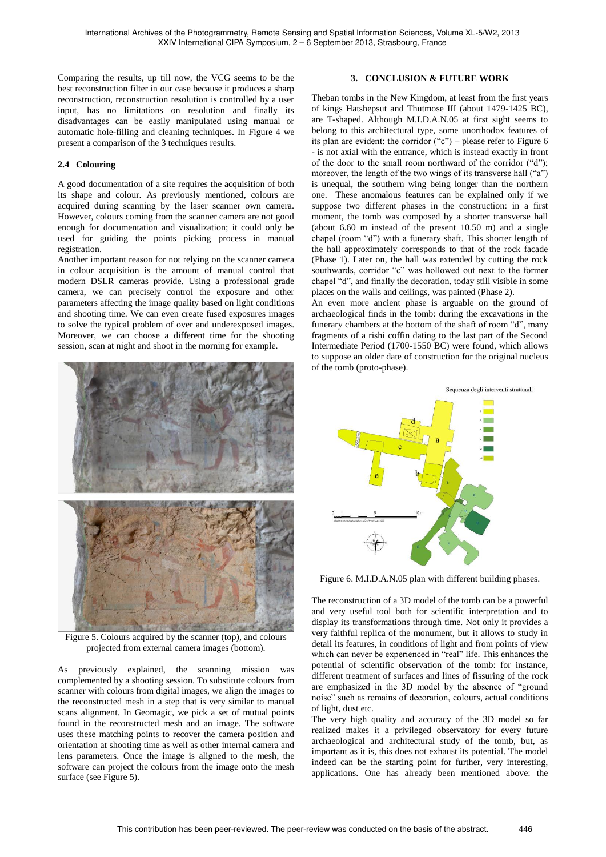Comparing the results, up till now, the VCG seems to be the best reconstruction filter in our case because it produces a sharp reconstruction, reconstruction resolution is controlled by a user input, has no limitations on resolution and finally its disadvantages can be easily manipulated using manual or automatic hole-filling and cleaning techniques. In Figure 4 we present a comparison of the 3 techniques results.

### **2.4 Colouring**

A good documentation of a site requires the acquisition of both its shape and colour. As previously mentioned, colours are acquired during scanning by the laser scanner own camera. However, colours coming from the scanner camera are not good enough for documentation and visualization; it could only be used for guiding the points picking process in manual registration.

Another important reason for not relying on the scanner camera in colour acquisition is the amount of manual control that modern DSLR cameras provide. Using a professional grade camera, we can precisely control the exposure and other parameters affecting the image quality based on light conditions and shooting time. We can even create fused exposures images to solve the typical problem of over and underexposed images. Moreover, we can choose a different time for the shooting session, scan at night and shoot in the morning for example.



Figure 5. Colours acquired by the scanner (top), and colours projected from external camera images (bottom).

As previously explained, the scanning mission was complemented by a shooting session. To substitute colours from scanner with colours from digital images, we align the images to the reconstructed mesh in a step that is very similar to manual scans alignment. In Geomagic, we pick a set of mutual points found in the reconstructed mesh and an image. The software uses these matching points to recover the camera position and orientation at shooting time as well as other internal camera and lens parameters. Once the image is aligned to the mesh, the software can project the colours from the image onto the mesh surface (see Figure 5).

## **3. CONCLUSION & FUTURE WORK**

Theban tombs in the New Kingdom, at least from the first years of kings Hatshepsut and Thutmose III (about 1479-1425 BC), are T-shaped. Although M.I.D.A.N.05 at first sight seems to belong to this architectural type, some unorthodox features of its plan are evident: the corridor ("c") – please refer to Figure 6 - is not axial with the entrance, which is instead exactly in front of the door to the small room northward of the corridor ("d"); moreover, the length of the two wings of its transverse hall ("a") is unequal, the southern wing being longer than the northern one. These anomalous features can be explained only if we suppose two different phases in the construction: in a first moment, the tomb was composed by a shorter transverse hall (about 6.60 m instead of the present 10.50 m) and a single chapel (room "d") with a funerary shaft. This shorter length of the hall approximately corresponds to that of the rock facade (Phase 1). Later on, the hall was extended by cutting the rock southwards, corridor "c" was hollowed out next to the former chapel "d", and finally the decoration, today still visible in some places on the walls and ceilings, was painted (Phase 2).

An even more ancient phase is arguable on the ground of archaeological finds in the tomb: during the excavations in the funerary chambers at the bottom of the shaft of room "d", many fragments of a rishi coffin dating to the last part of the Second Intermediate Period (1700-1550 BC) were found, which allows to suppose an older date of construction for the original nucleus of the tomb (proto-phase).



Figure 6. M.I.D.A.N.05 plan with different building phases.

The reconstruction of a 3D model of the tomb can be a powerful and very useful tool both for scientific interpretation and to display its transformations through time. Not only it provides a very faithful replica of the monument, but it allows to study in detail its features, in conditions of light and from points of view which can never be experienced in "real" life. This enhances the potential of scientific observation of the tomb: for instance, different treatment of surfaces and lines of fissuring of the rock are emphasized in the 3D model by the absence of "ground noise" such as remains of decoration, colours, actual conditions of light, dust etc.

The very high quality and accuracy of the 3D model so far realized makes it a privileged observatory for every future archaeological and architectural study of the tomb, but, as important as it is, this does not exhaust its potential. The model indeed can be the starting point for further, very interesting, applications. One has already been mentioned above: the